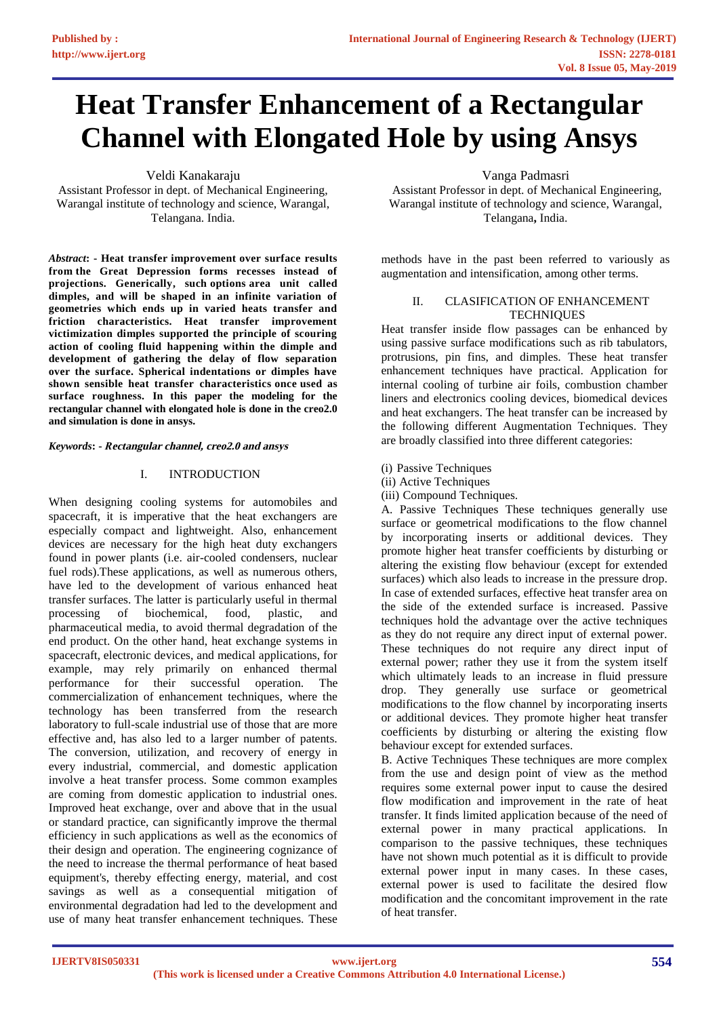# **Heat Transfer Enhancement of a Rectangular Channel with Elongated Hole by using Ansys**

Veldi Kanakaraju

Assistant Professor in dept. of Mechanical Engineering, Warangal institute of technology and science, Warangal, Telangana. India.

*Abstract***: - Heat transfer improvement over surface results from the Great Depression forms recesses instead of projections. Generically, such options area unit called dimples, and will be shaped in an infinite variation of geometries which ends up in varied heats transfer and friction characteristics. Heat transfer improvement victimization dimples supported the principle of scouring action of cooling fluid happening within the dimple and development of gathering the delay of flow separation over the surface. Spherical indentations or dimples have shown sensible heat transfer characteristics once used as surface roughness. In this paper the modeling for the rectangular channel with elongated hole is done in the creo2.0 and simulation is done in ansys.** 

*Keywords***: -** *R***ectangular channel, creo2.0 and ansys** 

## I. INTRODUCTION

When designing cooling systems for automobiles and spacecraft, it is imperative that the heat exchangers are especially compact and lightweight. Also, enhancement devices are necessary for the high heat duty exchangers found in power plants (i.e. air-cooled condensers, nuclear fuel rods).These applications, as well as numerous others, have led to the development of various enhanced heat transfer surfaces. The latter is particularly useful in thermal processing of biochemical, food, plastic, and pharmaceutical media, to avoid thermal degradation of the end product. On the other hand, heat exchange systems in spacecraft, electronic devices, and medical applications, for example, may rely primarily on enhanced thermal performance for their successful operation. The commercialization of enhancement techniques, where the technology has been transferred from the research laboratory to full-scale industrial use of those that are more effective and, has also led to a larger number of patents. The conversion, utilization, and recovery of energy in every industrial, commercial, and domestic application involve a heat transfer process. Some common examples are coming from domestic application to industrial ones. Improved heat exchange, over and above that in the usual or standard practice, can significantly improve the thermal efficiency in such applications as well as the economics of their design and operation. The engineering cognizance of the need to increase the thermal performance of heat based equipment's, thereby effecting energy, material, and cost savings as well as a consequential mitigation of environmental degradation had led to the development and use of many heat transfer enhancement techniques. These

Vanga Padmasri

Assistant Professor in dept. of Mechanical Engineering, Warangal institute of technology and science, Warangal, Telangana**,** India.

methods have in the past been referred to variously as augmentation and intensification, among other terms.

## II. CLASIFICATION OF ENHANCEMENT **TECHNIQUES**

Heat transfer inside flow passages can be enhanced by using passive surface modifications such as rib tabulators, protrusions, pin fins, and dimples. These heat transfer enhancement techniques have practical. Application for internal cooling of turbine air foils, combustion chamber liners and electronics cooling devices, biomedical devices and heat exchangers. The heat transfer can be increased by the following different Augmentation Techniques. They are broadly classified into three different categories:

- (i) Passive Techniques
- (ii) Active Techniques
- (iii) Compound Techniques.

A. Passive Techniques These techniques generally use surface or geometrical modifications to the flow channel by incorporating inserts or additional devices. They promote higher heat transfer coefficients by disturbing or altering the existing flow behaviour (except for extended surfaces) which also leads to increase in the pressure drop. In case of extended surfaces, effective heat transfer area on the side of the extended surface is increased. Passive techniques hold the advantage over the active techniques as they do not require any direct input of external power. These techniques do not require any direct input of external power; rather they use it from the system itself which ultimately leads to an increase in fluid pressure drop. They generally use surface or geometrical modifications to the flow channel by incorporating inserts or additional devices. They promote higher heat transfer coefficients by disturbing or altering the existing flow behaviour except for extended surfaces.

B. Active Techniques These techniques are more complex from the use and design point of view as the method requires some external power input to cause the desired flow modification and improvement in the rate of heat transfer. It finds limited application because of the need of external power in many practical applications. In comparison to the passive techniques, these techniques have not shown much potential as it is difficult to provide external power input in many cases. In these cases, external power is used to facilitate the desired flow modification and the concomitant improvement in the rate of heat transfer.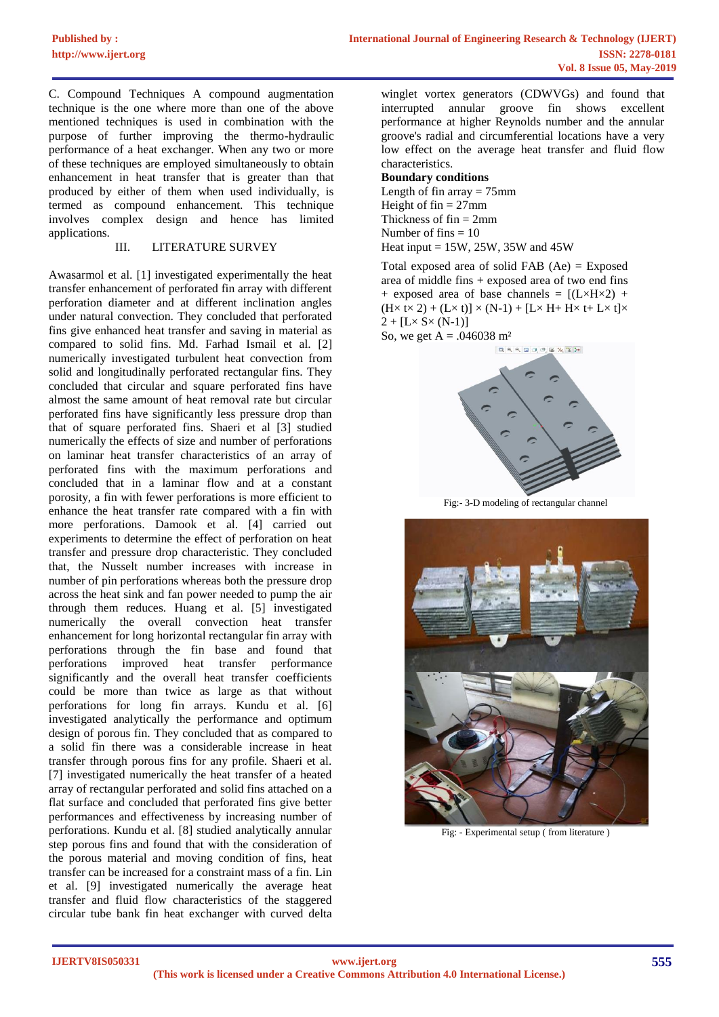C. Compound Techniques A compound augmentation technique is the one where more than one of the above mentioned techniques is used in combination with the purpose of further improving the thermo-hydraulic performance of a heat exchanger. When any two or more of these techniques are employed simultaneously to obtain enhancement in heat transfer that is greater than that produced by either of them when used individually, is termed as compound enhancement. This technique involves complex design and hence has limited applications.

### III. LITERATURE SURVEY

Awasarmol et al. [1] investigated experimentally the heat transfer enhancement of perforated fin array with different perforation diameter and at different inclination angles under natural convection. They concluded that perforated fins give enhanced heat transfer and saving in material as compared to solid fins. Md. Farhad Ismail et al. [2] numerically investigated turbulent heat convection from solid and longitudinally perforated rectangular fins. They concluded that circular and square perforated fins have almost the same amount of heat removal rate but circular perforated fins have significantly less pressure drop than that of square perforated fins. Shaeri et al [3] studied numerically the effects of size and number of perforations on laminar heat transfer characteristics of an array of perforated fins with the maximum perforations and concluded that in a laminar flow and at a constant porosity, a fin with fewer perforations is more efficient to enhance the heat transfer rate compared with a fin with more perforations. Damook et al. [4] carried out experiments to determine the effect of perforation on heat transfer and pressure drop characteristic. They concluded that, the Nusselt number increases with increase in number of pin perforations whereas both the pressure drop across the heat sink and fan power needed to pump the air through them reduces. Huang et al. [5] investigated numerically the overall convection heat transfer enhancement for long horizontal rectangular fin array with perforations through the fin base and found that perforations improved heat transfer performance significantly and the overall heat transfer coefficients could be more than twice as large as that without perforations for long fin arrays. Kundu et al. [6] investigated analytically the performance and optimum design of porous fin. They concluded that as compared to a solid fin there was a considerable increase in heat transfer through porous fins for any profile. Shaeri et al. [7] investigated numerically the heat transfer of a heated array of rectangular perforated and solid fins attached on a flat surface and concluded that perforated fins give better performances and effectiveness by increasing number of perforations. Kundu et al. [8] studied analytically annular step porous fins and found that with the consideration of the porous material and moving condition of fins, heat transfer can be increased for a constraint mass of a fin. Lin et al. [9] investigated numerically the average heat transfer and fluid flow characteristics of the staggered circular tube bank fin heat exchanger with curved delta

winglet vortex generators (CDWVGs) and found that interrupted annular groove fin shows excellent performance at higher Reynolds number and the annular groove's radial and circumferential locations have a very low effect on the average heat transfer and fluid flow characteristics.

## **Boundary conditions**

Length of fin array  $= 75$ mm Height of  $fin = 27$ mm Thickness of  $fin = 2mm$ Number of fins  $= 10$ Heat input  $= 15W$ , 25W, 35W and 45W

Total exposed area of solid FAB (Ae) = Exposed area of middle fins + exposed area of two end fins + exposed area of base channels =  $[(L \times H \times 2)$  +  $(H \times t \times 2) + (L \times t)] \times (N-1) + [L \times H + H \times t + L \times t] \times$  $2 + [L \times S \times (N-1)]$ So, we get  $A = .046038$  m<sup>2</sup>





Fig:- 3-D modeling of rectangular channel



Fig: - Experimental setup ( from literature )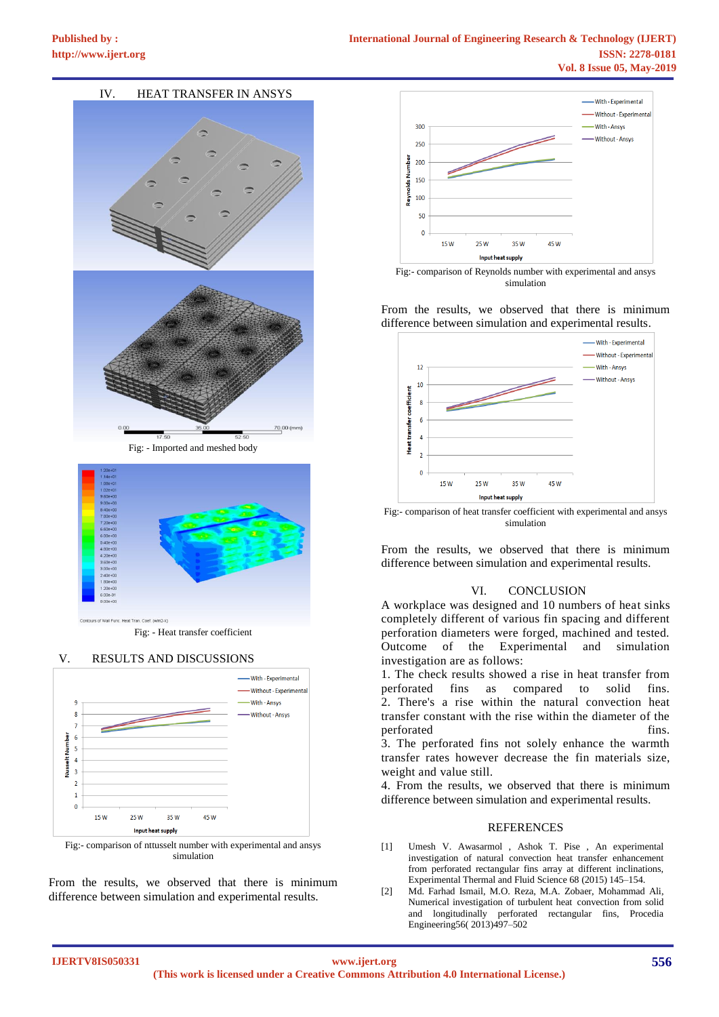## IV. HEAT TRANSFER IN ANSYS



Fig: - Imported and meshed body



Fig: - Heat transfer coefficient

#### V. RESULTS AND DISCUSSIONS



Fig:- comparison of nttusselt number with experimental and ansys simulation

From the results, we observed that there is minimum difference between simulation and experimental results.



simulation

From the results, we observed that there is minimum difference between simulation and experimental results.



Fig:- comparison of heat transfer coefficient with experimental and ansys simulation

From the results, we observed that there is minimum difference between simulation and experimental results.

### VI. CONCLUSION

A workplace was designed and 10 numbers of heat sinks completely different of various fin spacing and different perforation diameters were forged, machined and tested. Outcome of the Experimental and simulation investigation are as follows:

1. The check results showed a rise in heat transfer from perforated fins as compared to solid fins. 2. There's a rise within the natural convection heat transfer constant with the rise within the diameter of the perforated fins.

3. The perforated fins not solely enhance the warmth transfer rates however decrease the fin materials size, weight and value still.

4. From the results, we observed that there is minimum difference between simulation and experimental results.

#### **REFERENCES**

- [1] Umesh V. Awasarmol , Ashok T. Pise , An experimental investigation of natural convection heat transfer enhancement from perforated rectangular fins array at different inclinations, Experimental Thermal and Fluid Science 68 (2015) 145–154.
- [2] Md. Farhad Ismail, M.O. Reza, M.A. Zobaer, Mohammad Ali, Numerical investigation of turbulent heat convection from solid and longitudinally perforated rectangular fins, Procedia Engineering56( 2013)497–502